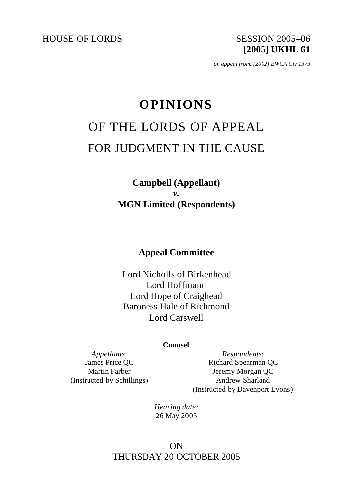HOUSE OF LORDS SESSION 2005-06

**[2005] UKHL 61**

*on appeal from: [2002] EWCA Civ 1373*

# **OPINIONS** OF THE LORDS OF APPEAL FOR JUDGMENT IN THE CAUSE

**Campbell (Appellant)** *v.* **MGN Limited (Respondents)**

# **Appeal Committee**

Lord Nicholls of Birkenhead Lord Hoffmann Lord Hope of Craighead Baroness Hale of Richmond Lord Carswell

#### **Counsel**

*Appellants*: James Price QC Martin Farber (Instructed by Schillings)

*Respondents*: Richard Spearman QC Jeremy Morgan QC Andrew Sharland (Instructed by Davenport Lyons)

*Hearing date:* 26 May 2005

# ON THURSDAY 20 OCTOBER 2005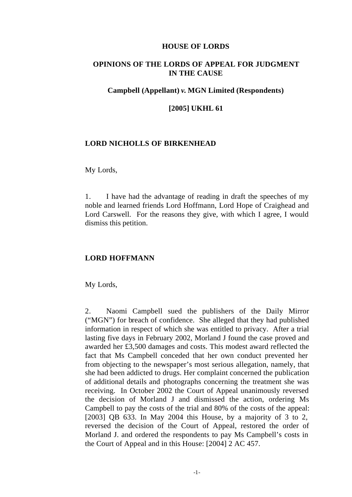#### **HOUSE OF LORDS**

## **OPINIONS OF THE LORDS OF APPEAL FOR JUDGMENT IN THE CAUSE**

## **Campbell (Appellant)** *v.* **MGN Limited (Respondents)**

#### **[2005] UKHL 61**

#### **LORD NICHOLLS OF BIRKENHEAD**

#### My Lords,

1. I have had the advantage of reading in draft the speeches of my noble and learned friends Lord Hoffmann, Lord Hope of Craighead and Lord Carswell. For the reasons they give, with which I agree, I would dismiss this petition.

#### **LORD HOFFMANN**

My Lords,

2. Naomi Campbell sued the publishers of the Daily Mirror ("MGN") for breach of confidence. She alleged that they had published information in respect of which she was entitled to privacy. After a trial lasting five days in February 2002, Morland J found the case proved and awarded her £3,500 damages and costs. This modest award reflected the fact that Ms Campbell conceded that her own conduct prevented her from objecting to the newspaper's most serious allegation, namely, that she had been addicted to drugs. Her complaint concerned the publication of additional details and photographs concerning the treatment she was receiving. In October 2002 the Court of Appeal unanimously reversed the decision of Morland J and dismissed the action, ordering Ms Campbell to pay the costs of the trial and 80% of the costs of the appeal: [2003] OB 633. In May 2004 this House, by a majority of 3 to 2, reversed the decision of the Court of Appeal, restored the order of Morland J. and ordered the respondents to pay Ms Campbell's costs in the Court of Appeal and in this House: [2004] 2 AC 457.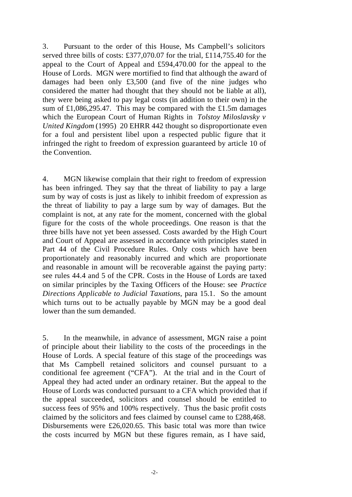3. Pursuant to the order of this House, Ms Campbell's solicitors served three bills of costs: £377,070.07 for the trial, £114,755.40 for the appeal to the Court of Appeal and £594,470.00 for the appeal to the House of Lords. MGN were mortified to find that although the award of damages had been only £3,500 (and five of the nine judges who considered the matter had thought that they should not be liable at all), they were being asked to pay legal costs (in addition to their own) in the sum of £1,086,295.47. This may be compared with the £1.5m damages which the European Court of Human Rights in *Tolstoy Miloslavsky v United Kingdom* (1995) 20 EHRR 442 thought so disproportionate even for a foul and persistent libel upon a respected public figure that it infringed the right to freedom of expression guaranteed by article 10 of the Convention.

4. MGN likewise complain that their right to freedom of expression has been infringed. They say that the threat of liability to pay a large sum by way of costs is just as likely to inhibit freedom of expression as the threat of liability to pay a large sum by way of damages. But the complaint is not, at any rate for the moment, concerned with the global figure for the costs of the whole proceedings. One reason is that the three bills have not yet been assessed. Costs awarded by the High Court and Court of Appeal are assessed in accordance with principles stated in Part 44 of the Civil Procedure Rules. Only costs which have been proportionately and reasonably incurred and which are proportionate and reasonable in amount will be recoverable against the paying party: see rules 44.4 and 5 of the CPR. Costs in the House of Lords are taxed on similar principles by the Taxing Officers of the House: see *Practice Directions Applicable to Judicial Taxations*, para 15.1*.* So the amount which turns out to be actually payable by MGN may be a good deal lower than the sum demanded.

5. In the meanwhile, in advance of assessment, MGN raise a point of principle about their liability to the costs of the proceedings in the House of Lords. A special feature of this stage of the proceedings was that Ms Campbell retained solicitors and counsel pursuant to a conditional fee agreement ("CFA"). At the trial and in the Court of Appeal they had acted under an ordinary retainer. But the appeal to the House of Lords was conducted pursuant to a CFA which provided that if the appeal succeeded, solicitors and counsel should be entitled to success fees of 95% and 100% respectively. Thus the basic profit costs claimed by the solicitors and fees claimed by counsel came to £288,468. Disbursements were £26,020.65. This basic total was more than twice the costs incurred by MGN but these figures remain, as I have said,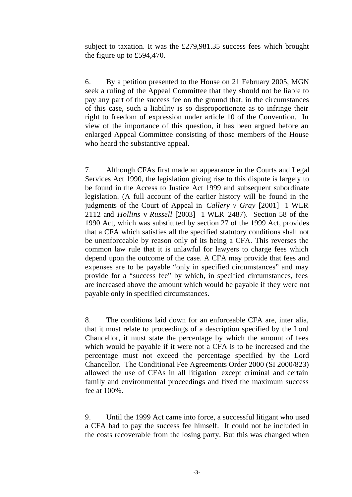subject to taxation. It was the £279,981.35 success fees which brought the figure up to £594,470.

6. By a petition presented to the House on 21 February 2005, MGN seek a ruling of the Appeal Committee that they should not be liable to pay any part of the success fee on the ground that, in the circumstances of this case, such a liability is so disproportionate as to infringe their right to freedom of expression under article 10 of the Convention. In view of the importance of this question, it has been argued before an enlarged Appeal Committee consisting of those members of the House who heard the substantive appeal.

7. Although CFAs first made an appearance in the Courts and Legal Services Act 1990, the legislation giving rise to this dispute is largely to be found in the Access to Justice Act 1999 and subsequent subordinate legislation. (A full account of the earlier history will be found in the judgments of the Court of Appeal in *Callery v Gray* [2001] 1 WLR 2112 and *Hollins* v *Russell* [2003] 1 WLR 2487). Section 58 of the 1990 Act, which was substituted by section 27 of the 1999 Act, provides that a CFA which satisfies all the specified statutory conditions shall not be unenforceable by reason only of its being a CFA. This reverses the common law rule that it is unlawful for lawyers to charge fees which depend upon the outcome of the case. A CFA may provide that fees and expenses are to be payable "only in specified circumstances" and may provide for a "success fee" by which, in specified circumstances, fees are increased above the amount which would be payable if they were not payable only in specified circumstances.

8. The conditions laid down for an enforceable CFA are, inter alia, that it must relate to proceedings of a description specified by the Lord Chancellor, it must state the percentage by which the amount of fees which would be payable if it were not a CFA is to be increased and the percentage must not exceed the percentage specified by the Lord Chancellor. The Conditional Fee Agreements Order 2000 (SI 2000/823) allowed the use of CFAs in all litigation except criminal and certain family and environmental proceedings and fixed the maximum success fee at 100%.

9. Until the 1999 Act came into force, a successful litigant who used a CFA had to pay the success fee himself. It could not be included in the costs recoverable from the losing party. But this was changed when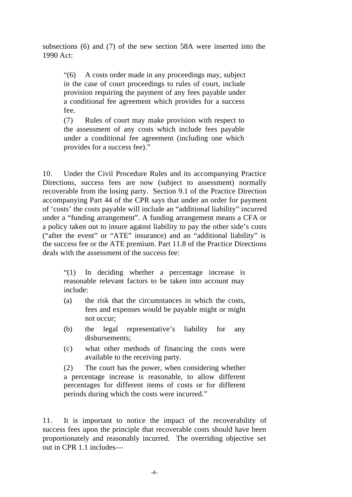subsections (6) and (7) of the new section 58A were inserted into the 1990 Act:

"(6) A costs order made in any proceedings may, subject in the case of court proceedings to rules of court, include provision requiring the payment of any fees payable under a conditional fee agreement which provides for a success fee.

(7) Rules of court may make provision with respect to the assessment of any costs which include fees payable under a conditional fee agreement (including one which provides for a success fee)."

10. Under the Civil Procedure Rules and its accompanying Practice Directions, success fees are now (subject to assessment) normally recoverable from the losing party. Section 9.1 of the Practice Direction accompanying Part 44 of the CPR says that under an order for payment of 'costs' the costs payable will include an "additional liability" incurred under a "funding arrangement". A funding arrangement means a CFA or a policy taken out to insure against liability to pay the other side's costs ("after the event" or "ATE" insurance) and an "additional liability" is the success fee or the ATE premium. Part 11.8 of the Practice Directions deals with the assessment of the success fee:

"(1) In deciding whether a percentage increase is reasonable relevant factors to be taken into account may include:

- (a) the risk that the circumstances in which the costs, fees and expenses would be payable might or might not occur;
- (b) the legal representative's liability for any disbursements;
- (c) what other methods of financing the costs were available to the receiving party.

(2) The court has the power, when considering whether a percentage increase is reasonable, to allow different percentages for different items of costs or for different periods during which the costs were incurred."

11. It is important to notice the impact of the recoverability of success fees upon the principle that recoverable costs should have been proportionately and reasonably incurred. The overriding objective set out in CPR 1.1 includes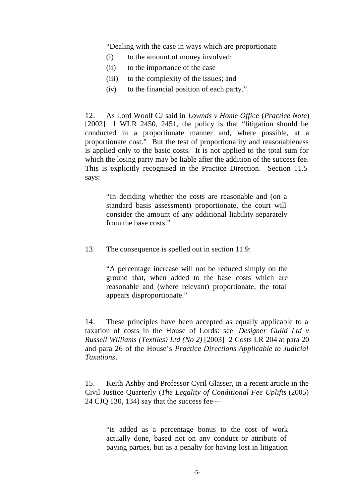"Dealing with the case in ways which are proportionate

- (i) to the amount of money involved;
- (ii) to the importance of the case
- (iii) to the complexity of the issues; and
- (iv) to the financial position of each party.".

12. As Lord Woolf CJ said in *Lownds v Home Office* (*Practice Note*) [2002] 1 WLR 2450, 2451, the policy is that "litigation should be conducted in a proportionate manner and, where possible, at a proportionate cost." But the test of proportionality and reasonableness is applied only to the basic costs. It is not applied to the total sum for which the losing party may be liable after the addition of the success fee. This is explicitly recognised in the Practice Direction. Section 11.5 says:

"In deciding whether the costs are reasonable and (on a standard basis assessment) proportionate, the court will consider the amount of any additional liability separately from the base costs."

13. The consequence is spelled out in section 11.9:

"A percentage increase will not be reduced simply on the ground that, when added to the base costs which are reasonable and (where relevant) proportionate, the total appears disproportionate."

14. These principles have been accepted as equally applicable to a taxation of costs in the House of Lords: see *Designer Guild Ltd v Russell Williams (Textiles) Ltd (No 2)* [2003] 2 Costs LR 204 at para 20 and para 26 of the House's *Practice Directions Applicable to Judicial Taxations*.

15. Keith Ashby and Professor Cyril Glasser, in a recent article in the Civil Justice Quarterly (*The Legality of Conditional Fee Uplifts* (2005) 24 CJQ 130, 134) say that the success fee—

"is added as a percentage bonus to the cost of work actually done, based not on any conduct or attribute of paying parties, but as a penalty for having lost in litigation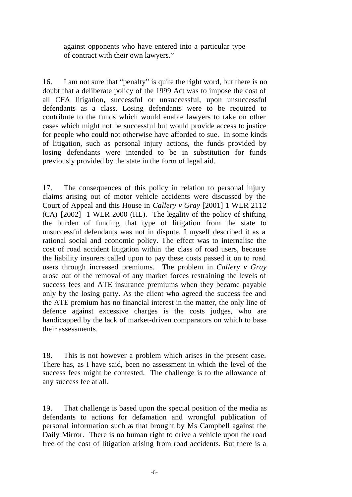against opponents who have entered into a particular type of contract with their own lawyers."

16. I am not sure that "penalty" is quite the right word, but there is no doubt that a deliberate policy of the 1999 Act was to impose the cost of all CFA litigation, successful or unsuccessful, upon unsuccessful defendants as a class. Losing defendants were to be required to contribute to the funds which would enable lawyers to take on other cases which might not be successful but would provide access to justice for people who could not otherwise have afforded to sue. In some kinds of litigation, such as personal injury actions, the funds provided by losing defendants were intended to be in substitution for funds previously provided by the state in the form of legal aid.

17. The consequences of this policy in relation to personal injury claims arising out of motor vehicle accidents were discussed by the Court of Appeal and this House in *Callery v Gray* [2001] 1 WLR 2112 (CA) [2002] 1 WLR 2000 (HL). The legality of the policy of shifting the burden of funding that type of litigation from the state to unsuccessful defendants was not in dispute. I myself described it as a rational social and economic policy. The effect was to internalise the cost of road accident litigation within the class of road users, because the liability insurers called upon to pay these costs passed it on to road users through increased premiums. The problem in *Callery v Gray* arose out of the removal of any market forces restraining the levels of success fees and ATE insurance premiums when they became payable only by the losing party. As the client who agreed the success fee and the ATE premium has no financial interest in the matter, the only line of defence against excessive charges is the costs judges, who are handicapped by the lack of market-driven comparators on which to base their assessments.

18. This is not however a problem which arises in the present case. There has, as I have said, been no assessment in which the level of the success fees might be contested. The challenge is to the allowance of any success fee at all.

19. That challenge is based upon the special position of the media as defendants to actions for defamation and wrongful publication of personal information such as that brought by Ms Campbell against the Daily Mirror. There is no human right to drive a vehicle upon the road free of the cost of litigation arising from road accidents. But there is a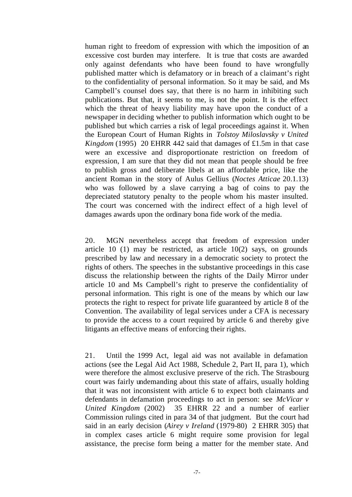human right to freedom of expression with which the imposition of an excessive cost burden may interfere. It is true that costs are awarded only against defendants who have been found to have wrongfully published matter which is defamatory or in breach of a claimant's right to the confidentiality of personal information. So it may be said, and Ms Campbell's counsel does say, that there is no harm in inhibiting such publications. But that, it seems to me, is not the point. It is the effect which the threat of heavy liability may have upon the conduct of a newspaper in deciding whether to publish information which ought to be published but which carries a risk of legal proceedings against it. When the European Court of Human Rights in *Tolstoy Miloslavsky v United Kingdom* (1995) 20 EHRR 442 said that damages of £1.5m in that case were an excessive and disproportionate restriction on freedom of expression, I am sure that they did not mean that people should be free to publish gross and deliberate libels at an affordable price, like the ancient Roman in the story of Aulus Gellius (*Noctes Atticae* 20.1.13) who was followed by a slave carrying a bag of coins to pay the depreciated statutory penalty to the people whom his master insulted. The court was concerned with the indirect effect of a high level of damages awards upon the ordinary bona fide work of the media.

20. MGN nevertheless accept that freedom of expression under article 10 (1) may be restricted, as article  $10(2)$  says, on grounds prescribed by law and necessary in a democratic society to protect the rights of others. The speeches in the substantive proceedings in this case discuss the relationship between the rights of the Daily Mirror under article 10 and Ms Campbell's right to preserve the confidentiality of personal information. This right is one of the means by which our law protects the right to respect for private life guaranteed by article 8 of the Convention. The availability of legal services under a CFA is necessary to provide the access to a court required by article 6 and thereby give litigants an effective means of enforcing their rights.

21. Until the 1999 Act, legal aid was not available in defamation actions (see the Legal Aid Act 1988, Schedule 2, Part II, para 1), which were therefore the almost exclusive preserve of the rich. The Strasbourg court was fairly undemanding about this state of affairs, usually holding that it was not inconsistent with article 6 to expect both claimants and defendants in defamation proceedings to act in person: see *McVicar v United Kingdom* (2002) 35 EHRR 22 and a number of earlier Commission rulings cited in para 34 of that judgment. But the court had said in an early decision (*Airey v Ireland* (1979-80) 2 EHRR 305) that in complex cases article 6 might require some provision for legal assistance, the precise form being a matter for the member state. And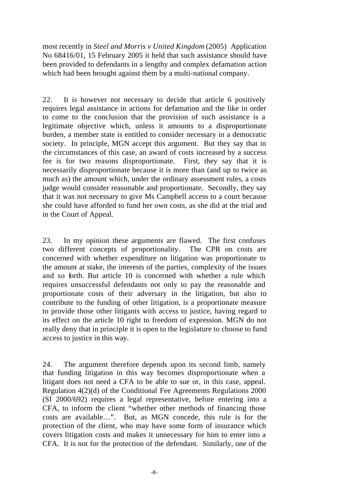most recently in *Steel and Morris v United Kingdom* (2005) Application No 68416/01, 15 February 2005 it held that such assistance should have been provided to defendants in a lengthy and complex defamation action which had been brought against them by a multi-national company.

22. It is however not necessary to decide that article 6 positively requires legal assistance in actions for defamation and the like in order to come to the conclusion that the provision of such assistance is a legitimate objective which, unless it amounts to a disproportionate burden, a member state is entitled to consider necessary in a democratic society. In principle, MGN accept this argument. But they say that in the circumstances of this case, an award of costs increased by a success fee is for two reasons disproportionate. First, they say that it is necessarily disproportionate because it is more than (and up to twice as much as) the amount which, under the ordinary assessment rules, a costs judge would consider reasonable and proportionate. Secondly, they say that it was not necessary to give Ms Campbell access to a court because she could have afforded to fund her own costs, as she did at the trial and in the Court of Appeal.

23. In my opinion these arguments are flawed. The first confuses two different concepts of proportionality. The CPR on costs are concerned with whether expenditure on litigation was proportionate to the amount at stake, the interests of the parties, complexity of the issues and so forth. But article 10 is concerned with whether a rule which requires unsuccessful defendants not only to pay the reasonable and proportionate costs of their adversary in the litigation, but also to contribute to the funding of other litigation, is a proportionate measure to provide those other litigants with access to justice, having regard to its effect on the article 10 right to freedom of expression. MGN do not really deny that in principle it is open to the legislature to choose to fund access to justice in this way.

24. The argument therefore depends upon its second limb, namely that funding litigation in this way becomes disproportionate when a litigant does not need a CFA to be able to sue or, in this case, appeal. Regulation 4(2)(d) of the Conditional Fee Agreements Regulations 2000 (SI 2000/692) requires a legal representative, before entering into a CFA, to inform the client "whether other methods of financing those costs are available…". But, as MGN concede, this rule is for the protection of the client, who may have some form of insurance which covers litigation costs and makes it unnecessary for him to enter into a CFA. It is not for the protection of the defendant. Similarly, one of the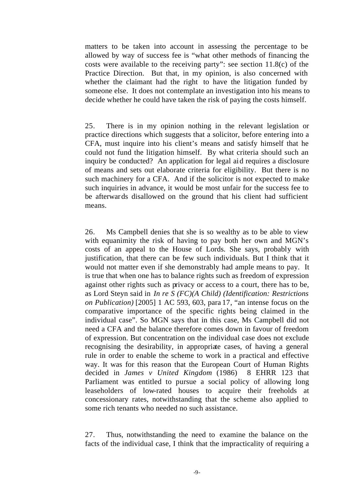matters to be taken into account in assessing the percentage to be allowed by way of success fee is "what other methods of financing the costs were available to the receiving party": see section 11.8(c) of the Practice Direction. But that, in my opinion, is also concerned with whether the claimant had the right to have the litigation funded by someone else. It does not contemplate an investigation into his means to decide whether he could have taken the risk of paying the costs himself.

25. There is in my opinion nothing in the relevant legislation or practice directions which suggests that a solicitor, before entering into a CFA, must inquire into his client's means and satisfy himself that he could not fund the litigation himself. By what criteria should such an inquiry be conducted? An application for legal aid requires a disclosure of means and sets out elaborate criteria for eligibility. But there is no such machinery for a CFA. And if the solicitor is not expected to make such inquiries in advance, it would be most unfair for the success fee to be afterwards disallowed on the ground that his client had sufficient means.

26. Ms Campbell denies that she is so wealthy as to be able to view with equanimity the risk of having to pay both her own and MGN's costs of an appeal to the House of Lords. She says, probably with justification, that there can be few such individuals. But I think that it would not matter even if she demonstrably had ample means to pay. It is true that when one has to balance rights such as freedom of expression against other rights such as privacy or access to a court, there has to be, as Lord Steyn said in *In re S (FC)(A Child) (Identification: Restrictions on Publication)* [2005] 1 AC 593, 603, para 17, "an intense focus on the comparative importance of the specific rights being claimed in the individual case". So MGN says that in this case, Ms Campbell did not need a CFA and the balance therefore comes down in favour of freedom of expression. But concentration on the individual case does not exclude recognising the desirability, in appropriate cases, of having a general rule in order to enable the scheme to work in a practical and effective way. It was for this reason that the European Court of Human Rights decided in *James v United Kingdom* (1986) 8 EHRR 123 that Parliament was entitled to pursue a social policy of allowing long leaseholders of low-rated houses to acquire their freeholds at concessionary rates, notwithstanding that the scheme also applied to some rich tenants who needed no such assistance.

27. Thus, notwithstanding the need to examine the balance on the facts of the individual case, I think that the impracticality of requiring a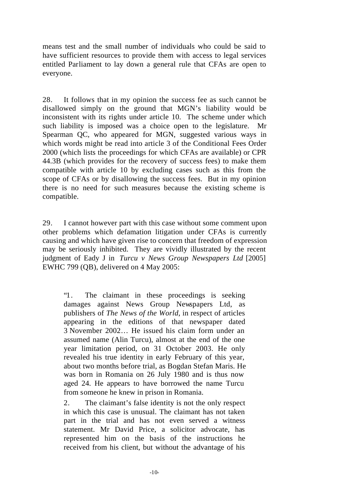means test and the small number of individuals who could be said to have sufficient resources to provide them with access to legal services entitled Parliament to lay down a general rule that CFAs are open to everyone.

28. It follows that in my opinion the success fee as such cannot be disallowed simply on the ground that MGN's liability would be inconsistent with its rights under article 10. The scheme under which such liability is imposed was a choice open to the legislature. Mr Spearman QC, who appeared for MGN, suggested various ways in which words might be read into article 3 of the Conditional Fees Order 2000 (which lists the proceedings for which CFAs are available) or CPR 44.3B (which provides for the recovery of success fees) to make them compatible with article 10 by excluding cases such as this from the scope of CFAs or by disallowing the success fees. But in my opinion there is no need for such measures because the existing scheme is compatible.

29. I cannot however part with this case without some comment upon other problems which defamation litigation under CFAs is currently causing and which have given rise to concern that freedom of expression may be seriously inhibited. They are vividly illustrated by the recent judgment of Eady J in *Turcu v News Group Newspapers Ltd* [2005] EWHC 799 (QB), delivered on 4 May 2005:

"1. The claimant in these proceedings is seeking damages against News Group Newspapers Ltd, as publishers of *The News of the World*, in respect of articles appearing in the editions of that newspaper dated 3 November 2002… He issued his claim form under an assumed name (Alin Turcu), almost at the end of the one year limitation period, on 31 October 2003. He only revealed his true identity in early February of this year, about two months before trial, as Bogdan Stefan Maris. He was born in Romania on 26 July 1980 and is thus now aged 24. He appears to have borrowed the name Turcu from someone he knew in prison in Romania.

2. The claimant's false identity is not the only respect in which this case is unusual. The claimant has not taken part in the trial and has not even served a witness statement. Mr David Price, a solicitor advocate, has represented him on the basis of the instructions he received from his client, but without the advantage of his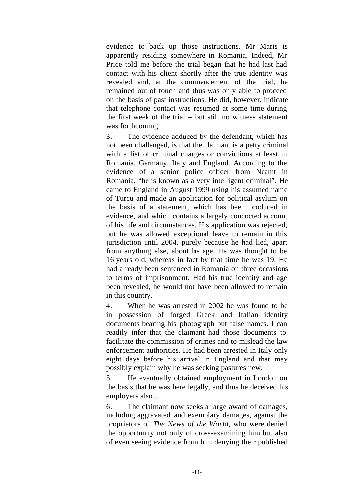evidence to back up those instructions. Mr Maris is apparently residing somewhere in Romania. Indeed, Mr Price told me before the trial began that he had last had contact with his client shortly after the true identity was revealed and, at the commencement of the trial, he remained out of touch and thus was only able to proceed on the basis of past instructions. He did, however, indicate that telephone contact was resumed at some time during the first week of the trial – but still no witness statement was forthcoming.

3. The evidence adduced by the defendant, which has not been challenged, is that the claimant is a petty criminal with a list of criminal charges or convictions at least in Romania, Germany, Italy and England. According to the evidence of a senior police officer from Neamt in Romania, "he is known as a very intelligent criminal". He came to England in August 1999 using his assumed name of Turcu and made an application for political asylum on the basis of a statement, which has been produced in evidence, and which contains a largely concocted account of his life and circumstances. His application was rejected, but he was allowed exceptional leave to remain in this jurisdiction until 2004, purely because he had lied, apart from anything else, about his age. He was thought to be 16 years old, whereas in fact by that time he was 19. He had already been sentenced in Romania on three occasions to terms of imprisonment. Had his true identity and age been revealed, he would not have been allowed to remain in this country.

4. When he was arrested in 2002 he was found to be in possession of forged Greek and Italian identity documents bearing his photograph but false names. I can readily infer that the claimant had those documents to facilitate the commission of crimes and to mislead the law enforcement authorities. He had been arrested in Italy only eight days before his arrival in England and that may possibly explain why he was seeking pastures new.

5. He eventually obtained employment in London on the basis that he was here legally, and thus he deceived his employers also…

6. The claimant now seeks a large award of damages, including aggravated and exemplary damages, against the proprietors of *The News of the World*, who were denied the opportunity not only of cross-examining him but also of even seeing evidence from him denying their published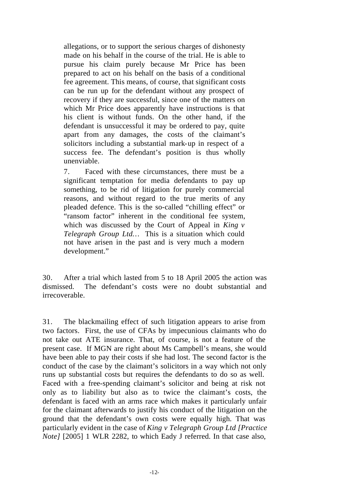allegations, or to support the serious charges of dishonesty made on his behalf in the course of the trial. He is able to pursue his claim purely because Mr Price has been prepared to act on his behalf on the basis of a conditional fee agreement. This means, of course, that significant costs can be run up for the defendant without any prospect of recovery if they are successful, since one of the matters on which Mr Price does apparently have instructions is that his client is without funds. On the other hand, if the defendant is unsuccessful it may be ordered to pay, quite apart from any damages, the costs of the claimant's solicitors including a substantial mark-up in respect of a success fee. The defendant's position is thus wholly unenviable.

7. Faced with these circumstances, there must be a significant temptation for media defendants to pay up something, to be rid of litigation for purely commercial reasons, and without regard to the true merits of any pleaded defence. This is the so-called "chilling effect" or "ransom factor" inherent in the conditional fee system, which was discussed by the Court of Appeal in *King v Telegraph Group Ltd…* This is a situation which could not have arisen in the past and is very much a modern development."

30. After a trial which lasted from 5 to 18 April 2005 the action was dismissed. The defendant's costs were no doubt substantial and irrecoverable.

31. The blackmailing effect of such litigation appears to arise from two factors. First, the use of CFAs by impecunious claimants who do not take out ATE insurance. That, of course, is not a feature of the present case. If MGN are right about Ms Campbell's means, she would have been able to pay their costs if she had lost. The second factor is the conduct of the case by the claimant's solicitors in a way which not only runs up substantial costs but requires the defendants to do so as well. Faced with a free-spending claimant's solicitor and being at risk not only as to liability but also as to twice the claimant's costs, the defendant is faced with an arms race which makes it particularly unfair for the claimant afterwards to justify his conduct of the litigation on the ground that the defendant's own costs were equally high. That was particularly evident in the case of *King v Telegraph Group Ltd [Practice Note]* [2005] 1 WLR 2282, to which Eady J referred. In that case also,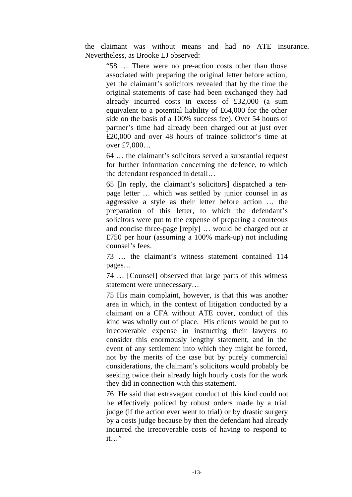the claimant was without means and had no ATE insurance. Nevertheless, as Brooke LJ observed:

"58 … There were no pre-action costs other than those associated with preparing the original letter before action, yet the claimant's solicitors revealed that by the time the original statements of case had been exchanged they had already incurred costs in excess of £32,000 (a sum equivalent to a potential liability of £64,000 for the other side on the basis of a 100% success fee). Over 54 hours of partner's time had already been charged out at just over £20,000 and over 48 hours of trainee solicitor's time at over £7,000…

64 … the claimant's solicitors served a substantial request for further information concerning the defence, to which the defendant responded in detail…

65 [In reply, the claimant's solicitors] dispatched a tenpage letter … which was settled by junior counsel in as aggressive a style as their letter before action … the preparation of this letter, to which the defendant's solicitors were put to the expense of preparing a courteous and concise three-page [reply] … would be charged out at £750 per hour (assuming a 100% mark-up) not including counsel's fees.

73 … the claimant's witness statement contained 114 pages…

74 … [Counsel] observed that large parts of this witness statement were unnecessary…

75 His main complaint, however, is that this was another area in which, in the context of litigation conducted by a claimant on a CFA without ATE cover, conduct of this kind was wholly out of place. His clients would be put to irrecoverable expense in instructing their lawyers to consider this enormously lengthy statement, and in the event of any settlement into which they might be forced, not by the merits of the case but by purely commercial considerations, the claimant's solicitors would probably be seeking twice their already high hourly costs for the work they did in connection with this statement.

76 He said that extravagant conduct of this kind could not be effectively policed by robust orders made by a trial judge (if the action ever went to trial) or by drastic surgery by a costs judge because by then the defendant had already incurred the irrecoverable costs of having to respond to it…"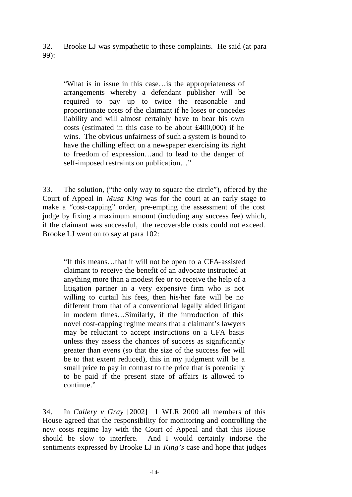32. Brooke LJ was sympathetic to these complaints. He said (at para 99):

"What is in issue in this case…is the appropriateness of arrangements whereby a defendant publisher will be required to pay up to twice the reasonable and proportionate costs of the claimant if he loses or concedes liability and will almost certainly have to bear his own costs (estimated in this case to be about £400,000) if he wins. The obvious unfairness of such a system is bound to have the chilling effect on a newspaper exercising its right to freedom of expression…and to lead to the danger of self-imposed restraints on publication…"

33. The solution, ("the only way to square the circle"), offered by the Court of Appeal in *Musa King* was for the court at an early stage to make a "cost-capping" order, pre-empting the assessment of the cost judge by fixing a maximum amount (including any success fee) which, if the claimant was successful, the recoverable costs could not exceed. Brooke LJ went on to say at para 102:

"If this means…that it will not be open to a CFA-assisted claimant to receive the benefit of an advocate instructed at anything more than a modest fee or to receive the help of a litigation partner in a very expensive firm who is not willing to curtail his fees, then his/her fate will be no different from that of a conventional legally aided litigant in modern times…Similarly, if the introduction of this novel cost-capping regime means that a claimant's lawyers may be reluctant to accept instructions on a CFA basis unless they assess the chances of success as significantly greater than evens (so that the size of the success fee will be to that extent reduced), this in my judgment will be a small price to pay in contrast to the price that is potentially to be paid if the present state of affairs is allowed to continue."

34. In *Callery v Gray* [2002] 1 WLR 2000 all members of this House agreed that the responsibility for monitoring and controlling the new costs regime lay with the Court of Appeal and that this House should be slow to interfere. And I would certainly indorse the sentiments expressed by Brooke LJ in *King's* case and hope that judges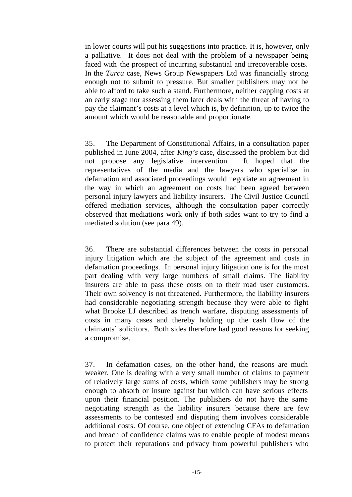in lower courts will put his suggestions into practice. It is, however, only a palliative. It does not deal with the problem of a newspaper being faced with the prospect of incurring substantial and irrecoverable costs. In the *Turcu* case, News Group Newspapers Ltd was financially strong enough not to submit to pressure. But smaller publishers may not be able to afford to take such a stand. Furthermore, neither capping costs at an early stage nor assessing them later deals with the threat of having to pay the claimant's costs at a level which is, by definition, up to twice the amount which would be reasonable and proportionate.

35. The Department of Constitutional Affairs, in a consultation paper published in June 2004, after *King's* case, discussed the problem but did not propose any legislative intervention. It hoped that the representatives of the media and the lawyers who specialise in defamation and associated proceedings would negotiate an agreement in the way in which an agreement on costs had been agreed between personal injury lawyers and liability insurers. The Civil Justice Council offered mediation services, although the consultation paper correctly observed that mediations work only if both sides want to try to find a mediated solution (see para 49).

36. There are substantial differences between the costs in personal injury litigation which are the subject of the agreement and costs in defamation proceedings. In personal injury litigation one is for the most part dealing with very large numbers of small claims. The liability insurers are able to pass these costs on to their road user customers. Their own solvency is not threatened. Furthermore, the liability insurers had considerable negotiating strength because they were able to fight what Brooke LJ described as trench warfare, disputing assessments of costs in many cases and thereby holding up the cash flow of the claimants' solicitors. Both sides therefore had good reasons for seeking a compromise.

37. In defamation cases, on the other hand, the reasons are much weaker. One is dealing with a very small number of claims to payment of relatively large sums of costs, which some publishers may be strong enough to absorb or insure against but which can have serious effects upon their financial position. The publishers do not have the same negotiating strength as the liability insurers because there are few assessments to be contested and disputing them involves considerable additional costs. Of course, one object of extending CFAs to defamation and breach of confidence claims was to enable people of modest means to protect their reputations and privacy from powerful publishers who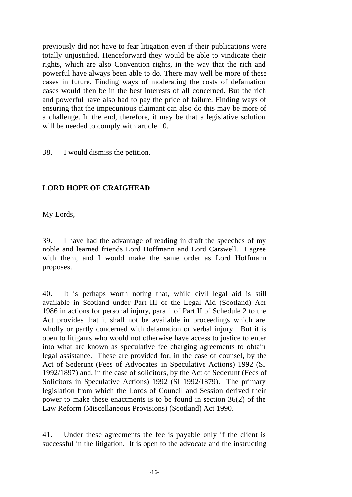previously did not have to fear litigation even if their publications were totally unjustified. Henceforward they would be able to vindicate their rights, which are also Convention rights, in the way that the rich and powerful have always been able to do. There may well be more of these cases in future. Finding ways of moderating the costs of defamation cases would then be in the best interests of all concerned. But the rich and powerful have also had to pay the price of failure. Finding ways of ensuring that the impecunious claimant can also do this may be more of a challenge. In the end, therefore, it may be that a legislative solution will be needed to comply with article 10.

38. I would dismiss the petition.

# **LORD HOPE OF CRAIGHEAD**

My Lords,

39. I have had the advantage of reading in draft the speeches of my noble and learned friends Lord Hoffmann and Lord Carswell. I agree with them, and I would make the same order as Lord Hoffmann proposes.

40. It is perhaps worth noting that, while civil legal aid is still available in Scotland under Part III of the Legal Aid (Scotland) Act 1986 in actions for personal injury, para 1 of Part II of Schedule 2 to the Act provides that it shall not be available in proceedings which are wholly or partly concerned with defamation or verbal injury. But it is open to litigants who would not otherwise have access to justice to enter into what are known as speculative fee charging agreements to obtain legal assistance. These are provided for, in the case of counsel, by the Act of Sederunt (Fees of Advocates in Speculative Actions) 1992 (SI 1992/1897) and, in the case of solicitors, by the Act of Sederunt (Fees of Solicitors in Speculative Actions) 1992 (SI 1992/1879). The primary legislation from which the Lords of Council and Session derived their power to make these enactments is to be found in section 36(2) of the Law Reform (Miscellaneous Provisions) (Scotland) Act 1990.

41. Under these agreements the fee is payable only if the client is successful in the litigation. It is open to the advocate and the instructing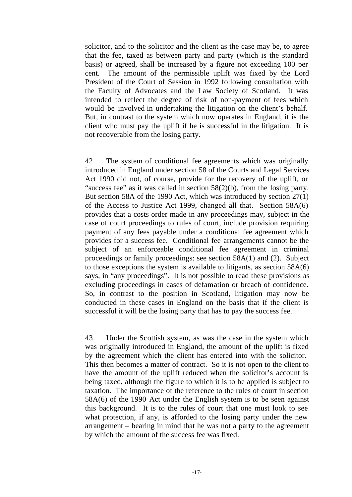solicitor, and to the solicitor and the client as the case may be, to agree that the fee, taxed as between party and party (which is the standard basis) or agreed, shall be increased by a figure not exceeding 100 per cent. The amount of the permissible uplift was fixed by the Lord President of the Court of Session in 1992 following consultation with the Faculty of Advocates and the Law Society of Scotland. It was intended to reflect the degree of risk of non-payment of fees which would be involved in undertaking the litigation on the client's behalf. But, in contrast to the system which now operates in England, it is the client who must pay the uplift if he is successful in the litigation. It is not recoverable from the losing party.

42. The system of conditional fee agreements which was originally introduced in England under section 58 of the Courts and Legal Services Act 1990 did not, of course, provide for the recovery of the uplift, or "success fee" as it was called in section 58(2)(b), from the losing party. But section 58A of the 1990 Act, which was introduced by section 27(1) of the Access to Justice Act 1999, changed all that. Section 58A(6) provides that a costs order made in any proceedings may, subject in the case of court proceedings to rules of court, include provision requiring payment of any fees payable under a conditional fee agreement which provides for a success fee. Conditional fee arrangements cannot be the subject of an enforceable conditional fee agreement in criminal proceedings or family proceedings: see section 58A(1) and (2). Subject to those exceptions the system is available to litigants, as section 58A(6) says, in "any proceedings". It is not possible to read these provisions as excluding proceedings in cases of defamation or breach of confidence. So, in contrast to the position in Scotland, litigation may now be conducted in these cases in England on the basis that if the client is successful it will be the losing party that has to pay the success fee.

43. Under the Scottish system, as was the case in the system which was originally introduced in England, the amount of the uplift is fixed by the agreement which the client has entered into with the solicitor. This then becomes a matter of contract. So it is not open to the client to have the amount of the uplift reduced when the solicitor's account is being taxed, although the figure to which it is to be applied is subject to taxation. The importance of the reference to the rules of court in section 58A(6) of the 1990 Act under the English system is to be seen against this background. It is to the rules of court that one must look to see what protection, if any, is afforded to the losing party under the new arrangement – bearing in mind that he was not a party to the agreement by which the amount of the success fee was fixed.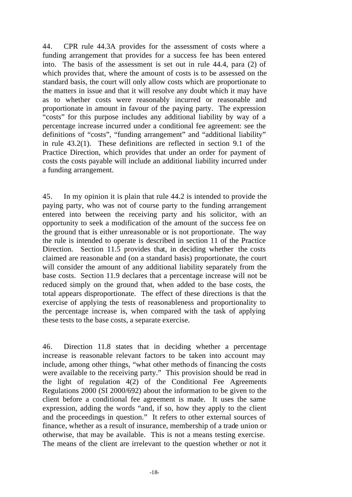44. CPR rule 44.3A provides for the assessment of costs where a funding arrangement that provides for a success fee has been entered into. The basis of the assessment is set out in rule 44.4, para (2) of which provides that, where the amount of costs is to be assessed on the standard basis, the court will only allow costs which are proportionate to the matters in issue and that it will resolve any doubt which it may have as to whether costs were reasonably incurred or reasonable and proportionate in amount in favour of the paying party. The expression "costs" for this purpose includes any additional liability by way of a percentage increase incurred under a conditional fee agreement: see the definitions of "costs", "funding arrangement" and "additional liability" in rule 43.2(1). These definitions are reflected in section 9.1 of the Practice Direction, which provides that under an order for payment of costs the costs payable will include an additional liability incurred under a funding arrangement.

45. In my opinion it is plain that rule 44.2 is intended to provide the paying party, who was not of course party to the funding arrangement entered into between the receiving party and his solicitor, with an opportunity to seek a modification of the amount of the success fee on the ground that is either unreasonable or is not proportionate. The way the rule is intended to operate is described in section 11 of the Practice Direction. Section 11.5 provides that, in deciding whether the costs claimed are reasonable and (on a standard basis) proportionate, the court will consider the amount of any additional liability separately from the base costs. Section 11.9 declares that a percentage increase will not be reduced simply on the ground that, when added to the base costs, the total appears disproportionate. The effect of these directions is that the exercise of applying the tests of reasonableness and proportionality to the percentage increase is, when compared with the task of applying these tests to the base costs, a separate exercise.

46. Direction 11.8 states that in deciding whether a percentage increase is reasonable relevant factors to be taken into account may include, among other things, "what other methods of financing the costs were available to the receiving party." This provision should be read in the light of regulation 4(2) of the Conditional Fee Agreements Regulations 2000 (SI 2000/692) about the information to be given to the client before a conditional fee agreement is made. It uses the same expression, adding the words "and, if so, how they apply to the client and the proceedings in question." It refers to other external sources of finance, whether as a result of insurance, membership of a trade union or otherwise, that may be available. This is not a means testing exercise. The means of the client are irrelevant to the question whether or not it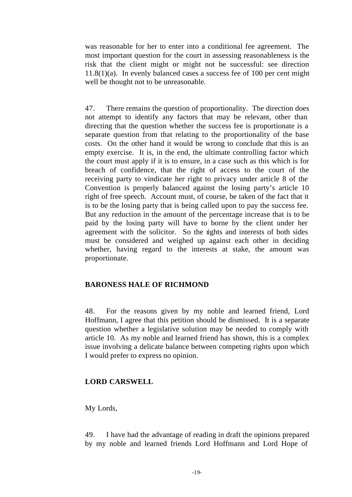was reasonable for her to enter into a conditional fee agreement. The most important question for the court in assessing reasonableness is the risk that the client might or might not be successful: see direction 11.8(1)(a). In evenly balanced cases a success fee of 100 per cent might well be thought not to be unreasonable.

47. There remains the question of proportionality. The direction does not attempt to identify any factors that may be relevant, other than directing that the question whether the success fee is proportionate is a separate question from that relating to the proportionality of the base costs. On the other hand it would be wrong to conclude that this is an empty exercise. It is, in the end, the ultimate controlling factor which the court must apply if it is to ensure, in a case such as this which is for breach of confidence, that the right of access to the court of the receiving party to vindicate her right to privacy under article 8 of the Convention is properly balanced against the losing party's article 10 right of free speech. Account must, of course, be taken of the fact that it is to be the losing party that is being called upon to pay the success fee. But any reduction in the amount of the percentage increase that is to be paid by the losing party will have to borne by the client under her agreement with the solicitor. So the rights and interests of both sides must be considered and weighed up against each other in deciding whether, having regard to the interests at stake, the amount was proportionate.

# **BARONESS HALE OF RICHMOND**

48. For the reasons given by my noble and learned friend, Lord Hoffmann, I agree that this petition should be dismissed. It is a separate question whether a legislative solution may be needed to comply with article 10. As my noble and learned friend has shown, this is a complex issue involving a delicate balance between competing rights upon which I would prefer to express no opinion.

# **LORD CARSWELL**

My Lords,

49. I have had the advantage of reading in draft the opinions prepared by my noble and learned friends Lord Hoffmann and Lord Hope of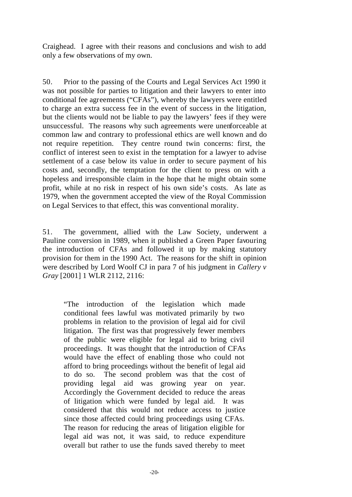Craighead. I agree with their reasons and conclusions and wish to add only a few observations of my own.

50. Prior to the passing of the Courts and Legal Services Act 1990 it was not possible for parties to litigation and their lawyers to enter into conditional fee agreements ("CFAs"), whereby the lawyers were entitled to charge an extra success fee in the event of success in the litigation, but the clients would not be liable to pay the lawyers' fees if they were unsuccessful. The reasons why such agreements were unenforceable at common law and contrary to professional ethics are well known and do not require repetition. They centre round twin concerns: first, the conflict of interest seen to exist in the temptation for a lawyer to advise settlement of a case below its value in order to secure payment of his costs and, secondly, the temptation for the client to press on with a hopeless and irresponsible claim in the hope that he might obtain some profit, while at no risk in respect of his own side's costs. As late as 1979, when the government accepted the view of the Royal Commission on Legal Services to that effect, this was conventional morality.

51. The government, allied with the Law Society, underwent a Pauline conversion in 1989, when it published a Green Paper favouring the introduction of CFAs and followed it up by making statutory provision for them in the 1990 Act. The reasons for the shift in opinion were described by Lord Woolf CJ in para 7 of his judgment in *Callery v Gray* [2001] 1 WLR 2112, 2116:

"The introduction of the legislation which made conditional fees lawful was motivated primarily by two problems in relation to the provision of legal aid for civil litigation. The first was that progressively fewer members of the public were eligible for legal aid to bring civil proceedings. It was thought that the introduction of CFAs would have the effect of enabling those who could not afford to bring proceedings without the benefit of legal aid to do so. The second problem was that the cost of providing legal aid was growing year on year. Accordingly the Government decided to reduce the areas of litigation which were funded by legal aid. It was considered that this would not reduce access to justice since those affected could bring proceedings using CFAs. The reason for reducing the areas of litigation eligible for legal aid was not, it was said, to reduce expenditure overall but rather to use the funds saved thereby to meet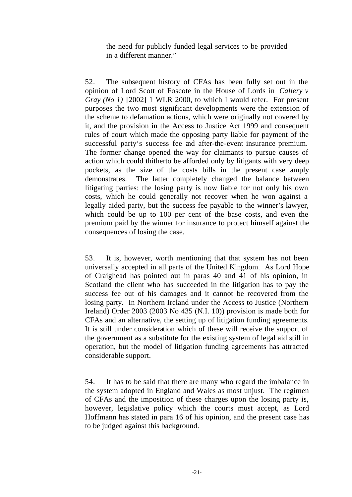the need for publicly funded legal services to be provided in a different manner."

52. The subsequent history of CFAs has been fully set out in the opinion of Lord Scott of Foscote in the House of Lords in *Callery v Gray (No 1)* [2002] 1 WLR 2000, to which I would refer. For present purposes the two most significant developments were the extension of the scheme to defamation actions, which were originally not covered by it, and the provision in the Access to Justice Act 1999 and consequent rules of court which made the opposing party liable for payment of the successful party's success fee and after-the-event insurance premium. The former change opened the way for claimants to pursue causes of action which could thitherto be afforded only by litigants with very deep pockets, as the size of the costs bills in the present case amply demonstrates. The latter completely changed the balance between litigating parties: the losing party is now liable for not only his own costs, which he could generally not recover when he won against a legally aided party, but the success fee payable to the winner's lawyer, which could be up to 100 per cent of the base costs, and even the premium paid by the winner for insurance to protect himself against the consequences of losing the case.

53. It is, however, worth mentioning that that system has not been universally accepted in all parts of the United Kingdom. As Lord Hope of Craighead has pointed out in paras 40 and 41 of his opinion, in Scotland the client who has succeeded in the litigation has to pay the success fee out of his damages and it cannot be recovered from the losing party. In Northern Ireland under the Access to Justice (Northern Ireland) Order 2003 (2003 No 435 (N.I. 10)) provision is made both for CFAs and an alternative, the setting up of litigation funding agreements. It is still under consideration which of these will receive the support of the government as a substitute for the existing system of legal aid still in operation, but the model of litigation funding agreements has attracted considerable support.

54. It has to be said that there are many who regard the imbalance in the system adopted in England and Wales as most unjust. The regimen of CFAs and the imposition of these charges upon the losing party is, however, legislative policy which the courts must accept, as Lord Hoffmann has stated in para 16 of his opinion, and the present case has to be judged against this background.